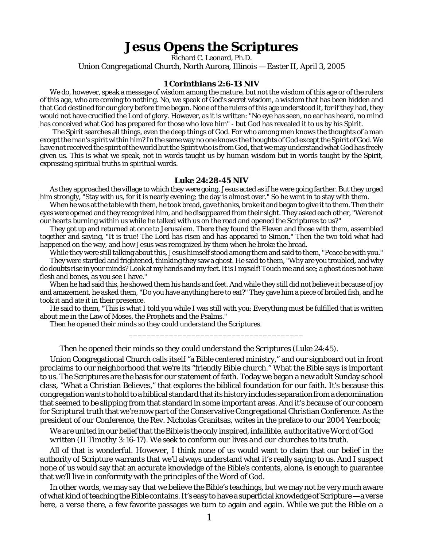## **Jesus Opens the Scriptures**

Richard C. Leonard, Ph.D.

Union Congregational Church, North Aurora, Illinois — Easter II, April 3, 2005

## **1 Corinthians 2:6-13 NIV**

We do, however, speak a message of wisdom among the mature, but not the wisdom of this age or of the rulers of this age, who are coming to nothing. No, we speak of God's secret wisdom, a wisdom that has been hidden and that God destined for our glory before time began. None of the rulers of this age understood it, for if they had, they would not have crucified the Lord of glory. However, as it is written: "No eye has seen, no ear has heard, no mind has conceived what God has prepared for those who love him" - but God has revealed it to us by his Spirit.

 The Spirit searches all things, even the deep things of God. For who among men knows the thoughts of a man except the man's spirit within him? In the same way no one knows the thoughts of God except the Spirit of God. We have not received the spirit of the world but the Spirit who is from God, that we may understand what God has freely given us. This is what we speak, not in words taught us by human wisdom but in words taught by the Spirit, expressing spiritual truths in spiritual words.

## **Luke 24:28-45 NIV**

As they approached the village to which they were going, Jesus acted as if he were going farther. But they urged him strongly, "Stay with us, for it is nearly evening; the day is almost over." So he went in to stay with them.

When he was at the table with them, he took bread, gave thanks, broke it and began to give it to them. Then their eyes were opened and they recognized him, and he disappeared from their sight. They asked each other, "Were not our hearts burning within us while he talked with us on the road and opened the Scriptures to us?"

They got up and returned at once to Jerusalem. There they found the Eleven and those with them, assembled together and saying, "It is true! The Lord has risen and has appeared to Simon." Then the two told what had happened on the way, and how Jesus was recognized by them when he broke the bread.

While they were still talking about this, Jesus himself stood among them and said to them, "Peace be with you."

They were startled and frightened, thinking they saw a ghost. He said to them, "Why are you troubled, and why do doubts rise in your minds? Look at my hands and my feet. It is I myself! Touch me and see; a ghost does not have flesh and bones, as you see I have."

When he had said this, he showed them his hands and feet. And while they still did not believe it because of joy and amazement, he asked them, "Do you have anything here to eat?" They gave him a piece of broiled fish, and he took it and ate it in their presence.

He said to them, "This is what I told you while I was still with you: Everything must be fulfilled that is written about me in the Law of Moses, the Prophets and the Psalms."

\_\_\_\_\_\_\_\_\_\_\_\_\_\_\_\_\_\_\_\_\_\_\_\_\_\_\_\_\_\_\_\_\_\_\_\_\_\_\_

Then he opened their minds so they could understand the Scriptures.

## *Then he opened their minds so they could understand the Scriptures* (Luke 24:45).

Union Congregational Church calls itself "a Bible centered ministry," and our signboard out in front proclaims to our neighborhood that we're its "friendly Bible church." What the Bible says is important to us. The Scriptures are the basis for our statement of faith. Today we began a new adult Sunday school class, "What a Christian Believes," that explores the biblical foundation for our faith. It's because this congregation wants to hold to a biblical standard that its history includes separation from a denomination that seemed to be slipping from that standard in some important areas. And it's because of our concern for Scriptural truth that we're now part of the Conservative Congregational Christian Conference. As the president of our Conference, the Rev. Nicholas Granitsas, writes in the preface to our 2004 *Yearbook;*

*We are united in our belief that the Bible is the only inspired, infallible, authoritative Word of God written (II Timothy 3:16-17). We seek to conform our lives and our churches to its truth.* 

All of that is wonderful. However, I think none of us would want to claim that our belief in the authority of Scripture warrants that we'll always understand what it's really saying to us. And I suspect none of us would say that an accurate knowledge of the Bible's contents, alone, is enough to guarantee that we'll live in conformity with the principles of the Word of God.

In other words, we may *say* that we believe the Bible's teachings, but we may not be very much aware of what kind of teaching the Bible contains. It's easy to have a superficial knowledge of Scripture — a verse here, a verse there, a few favorite passages we turn to again and again. While we put the Bible on a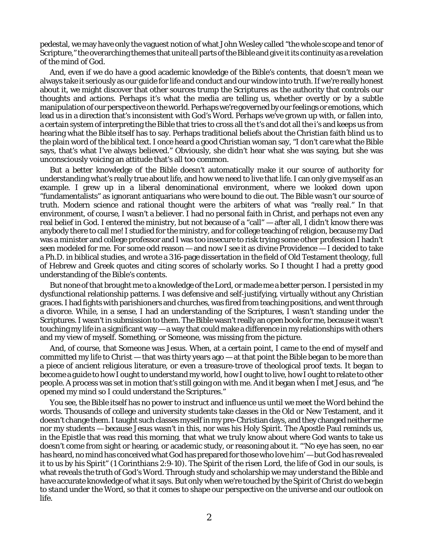pedestal, we may have only the vaguest notion of what John Wesley called "the whole scope and tenor of Scripture," the overarching themes that unite all parts of the Bible and give it its continuity as a revelation of the mind of God.

And, even if we do have a good academic knowledge of the Bible's contents, that doesn't mean we always take it seriously as our guide for life and conduct and our window into truth. If we're really honest about it, we might discover that other sources trump the Scriptures as the authority that controls our thoughts and actions. Perhaps it's what the media are telling us, whether overtly or by a subtle manipulation of our perspective on the world. Perhaps we're governed by our feelings or emotions, which lead us in a direction that's inconsistent with God's Word. Perhaps we've grown up with, or fallen into, a certain system of interpreting the Bible that tries to cross all the t's and dot all the i's and keeps us from hearing what the Bible itself has to say. Perhaps traditional beliefs about the Christian faith blind us to the plain word of the biblical text. I once heard a good Christian woman say, "I don't care what the Bible says, that's what I've always believed." Obviously, she didn't hear what she was saying, but she was unconsciously voicing an attitude that's all too common.

But a better knowledge of the Bible doesn't automatically make it our source of authority for understanding what's really true about life, and how we need to live that life. I can only give myself as an example. I grew up in a liberal denominational environment, where we looked down upon "fundamentalists" as ignorant antiquarians who were bound to die out. The Bible wasn't our source of truth. Modern science and rational thought were the arbiters of what was "really real." In that environment, of course, I wasn't a believer. I had no personal faith in Christ, and perhaps not even any real belief in God. I entered the ministry, but not because of a "call" — after all, I didn't know there was anybody there to call me! I studied for the ministry, and for college teaching of religion, because my Dad was a minister and college professor and I was too insecure to risk trying some other profession I hadn't seen modeled for me. For some odd reason — and now I see it as divine Providence — I decided to take a Ph.D. in biblical studies, and wrote a 316-page dissertation in the field of Old Testament theology, full of Hebrew and Greek quotes and citing scores of scholarly works. So I thought I had a pretty good understanding of the Bible's contents.

But none of that brought me to a knowledge of the Lord, or made me a better person. I persisted in my dysfunctional relationship patterns. I was defensive and self-justifying, virtually without any Christian graces. I had fights with parishioners and churches, was fired from teaching positions, and went through a divorce. While, in a sense, I had an *understanding* of the Scriptures, I wasn't *standing under* the Scriptures. I wasn't in submission to them. The Bible wasn't really an open book for me, because it wasn't touching my life in a significant way — a way that could make a difference in my relationships with others and my view of myself. Something, or Someone, was missing from the picture.

And, of course, that Someone was Jesus. When, at a certain point, I came to the end of myself and committed my life to Christ — that was thirty years ago — at that point the Bible began to be more than a piece of ancient religious literature, or even a treasure-trove of theological proof texts. It began to become a guide to how I ought to understand my world, how I ought to live, how I ought to relate to other people. A process was set in motion that's still going on with me. And it began when I met Jesus, and "he opened my mind so I could understand the Scriptures."

You see, the Bible itself has no power to instruct and influence us until we meet the Word behind the words. Thousands of college and university students take classes in the Old or New Testament, and it doesn't change them. I taught such classes myself in my pre-Christian days, and they changed neither me nor my students — because Jesus wasn't in this, nor was his Holy Spirit. The Apostle Paul reminds us, in the Epistle that was read this morning, that what we truly know about where God wants to take us doesn't come from sight or hearing, or academic study, or reasoning about it. "'No eye has seen, no ear has heard, no mind has conceived what God has prepared for those who love him' — but God has revealed it to us by his Spirit" (1 Corinthians 2:9-10). The Spirit of the risen Lord, the life of God in our souls, is what reveals the truth of God's Word. Through study and scholarship we may *understand* the Bible and have accurate knowledge of what it says. But only when we're touched by the Spirit of Christ do we begin to *stand under* the Word, so that it comes to shape our perspective on the universe and our outlook on life.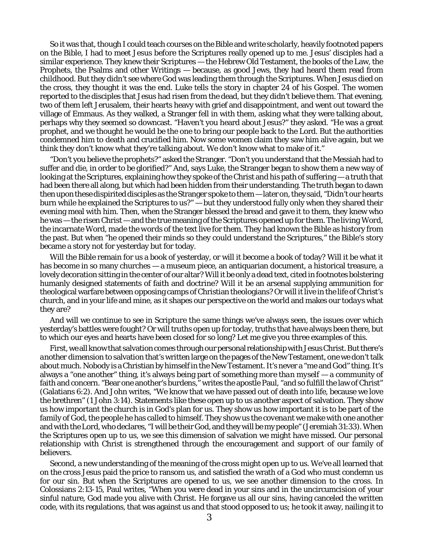So it was that, though I could teach courses on the Bible and write scholarly, heavily footnoted papers on the Bible, I had to meet Jesus before the Scriptures really opened up to me. Jesus' disciples had a similar experience. They knew their Scriptures — the Hebrew Old Testament, the books of the Law, the Prophets, the Psalms and other Writings — because, as good Jews, they had heard them read from childhood. But they didn't see where God was leading them through the Scriptures. When Jesus died on the cross, they thought it was the end. Luke tells the story in chapter 24 of his Gospel. The women reported to the disciples that Jesus had risen from the dead, but they didn't believe them. That evening, two of them left Jerusalem, their hearts heavy with grief and disappointment, and went out toward the village of Emmaus. As they walked, a Stranger fell in with them, asking what they were talking about, perhaps why they seemed so downcast. "Haven't you heard about Jesus?" they asked. "He was a great prophet, and we thought he would be the one to bring our people back to the Lord. But the authorities condemned him to death and crucified him. Now some women claim they saw him alive again, but we think they don't know what they're talking about. We don't know what to make of it."

"Don't you believe the prophets?" asked the Stranger. "Don't you understand that the Messiah had to suffer and die, in order to be glorified?" And, says Luke, the Stranger began to show them a new way of looking at the Scriptures, explaining how they spoke of the Christ and his path of suffering — a truth that had been there all along, but which had been hidden from their understanding. The truth began to dawn then upon these dispirited disciples as the Stranger spoke to them — later on, they said, "Didn't our hearts burn while he explained the Scriptures to us?" — but they understood fully only when they shared their evening meal with him. Then, when the Stranger blessed the bread and gave it to them, they knew who he was — the risen Christ — and the true meaning of the Scriptures opened up for them. The *living Word*, the incarnate Word, made the *words of the text* live for them. They had known the Bible as history from the past. But when "he opened their minds so they could understand the Scriptures," the Bible's story became a story not for yesterday but for today.

Will the Bible remain for us a book of yesterday, or will it become a book of today? Will it be what it has become in so many churches — a museum piece, an antiquarian document, a historical treasure, a lovely decoration sitting in the center of our altar? Will it be only a dead text, cited in footnotes bolstering humanly designed statements of faith and doctrine? Will it be an arsenal supplying ammunition for theological warfare between opposing camps of Christian theologians? Or will it live in the life of Christ's church, and in your life and mine, as it shapes our perspective on the world and makes our *todays* what they are?

And will we continue to see in Scripture the same things we've always seen, the issues over which yesterday's battles were fought? Or will truths open up for today, truths that have always been there, but to which our eyes and hearts have been closed for so long? Let me give you three examples of this.

First, we all know that salvation comes through our personal relationship with Jesus Christ. But there's *another dimension* to salvation that's written large on the pages of the New Testament, one we don't talk about much. Nobody is a Christian by himself in the New Testament. It's never a "me and God" thing. It's always a "one another" thing, it's always being part of something *more than myself* — a community of faith and concern. "Bear one another's burdens," writes the apostle Paul, "and so fulfill the law of Christ" (Galatians 6:2). And John writes, "We know that we have passed out of death into life, because we love the brethren" (1 John 3:14). Statements like these open up to us another aspect of salvation. They show us how important *the church* is in God's plan for us. They show us how important it is to be part of the family of God, the people he has called to himself. They show us the *covenant* we make with one another and with the Lord, who declares, "I will be their God, and they will be my people" (Jeremiah 31:33). When the Scriptures open up to us, we see this dimension of salvation we might have missed. Our personal relationship with Christ is strengthened through the encouragement and support of our family of believers.

Second, a new understanding of the meaning of the cross might open up to us. We've all learned that on the cross Jesus paid the price to ransom us, and satisfied the wrath of a God who must condemn us for our sin. But when the Scriptures are opened to us, we see another dimension to the cross. In Colossians 2:13-15, Paul writes, "When you were dead in your sins and in the uncircumcision of your sinful nature, God made you alive with Christ. He forgave us all our sins, having canceled the written code, with its regulations, that was against us and that stood opposed to us; he took it away, nailing it to